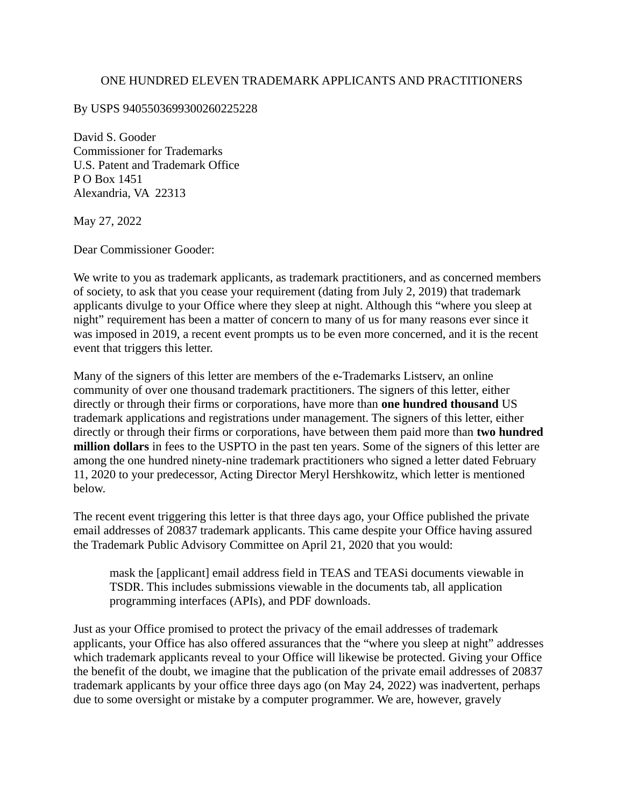## ONE HUNDRED ELEVEN TRADEMARK APPLICANTS AND PRACTITIONERS

By USPS 9405503699300260225228

David S. Gooder Commissioner for Trademarks U.S. Patent and Trademark Office P O Box 1451 Alexandria, VA 22313

May 27, 2022

Dear Commissioner Gooder:

We write to you as trademark applicants, as trademark practitioners, and as concerned members of society, to ask that you cease your requirement (dating from July 2, 2019) that trademark applicants divulge to your Office where they sleep at night. Although this "where you sleep at night" requirement has been a matter of concern to many of us for many reasons ever since it was imposed in 2019, a recent event prompts us to be even more concerned, and it is the recent event that triggers this letter.

Many of the signers of this letter are members of the e-Trademarks Listserv, an online community of over one thousand trademark practitioners. The signers of this letter, either directly or through their firms or corporations, have more than **one hundred thousand** US trademark applications and registrations under management. The signers of this letter, either directly or through their firms or corporations, have between them paid more than **two hundred million dollars** in fees to the USPTO in the past ten years. Some of the signers of this letter are among the one hundred ninety-nine trademark practitioners who signed a letter dated February 11, 2020 to your predecessor, Acting Director Meryl Hershkowitz, which letter is mentioned below.

The recent event triggering this letter is that three days ago, your Office published the private email addresses of 20837 trademark applicants. This came despite your Office having assured the Trademark Public Advisory Committee on April 21, 2020 that you would:

mask the [applicant] email address field in TEAS and TEASi documents viewable in TSDR. This includes submissions viewable in the documents tab, all application programming interfaces (APIs), and PDF downloads.

Just as your Office promised to protect the privacy of the email addresses of trademark applicants, your Office has also offered assurances that the "where you sleep at night" addresses which trademark applicants reveal to your Office will likewise be protected. Giving your Office the benefit of the doubt, we imagine that the publication of the private email addresses of 20837 trademark applicants by your office three days ago (on May 24, 2022) was inadvertent, perhaps due to some oversight or mistake by a computer programmer. We are, however, gravely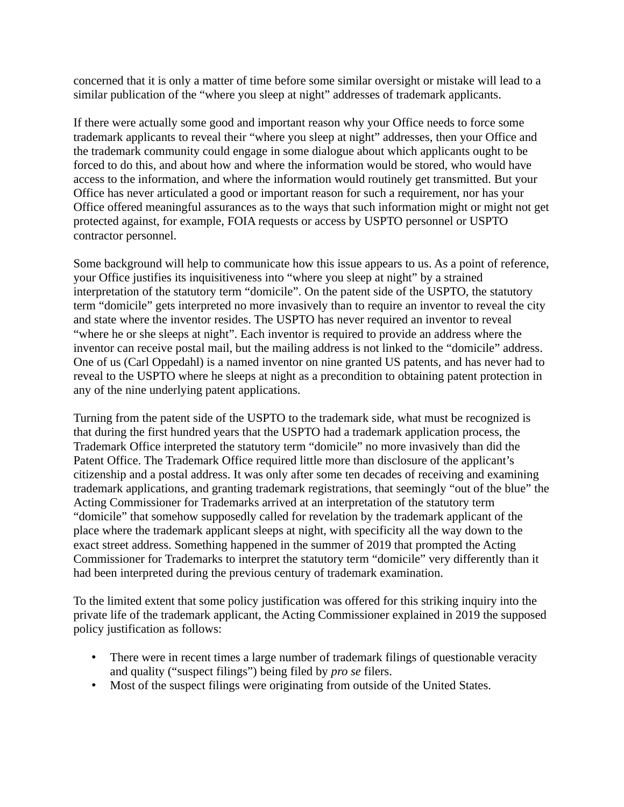concerned that it is only a matter of time before some similar oversight or mistake will lead to a similar publication of the "where you sleep at night" addresses of trademark applicants.

If there were actually some good and important reason why your Office needs to force some trademark applicants to reveal their "where you sleep at night" addresses, then your Office and the trademark community could engage in some dialogue about which applicants ought to be forced to do this, and about how and where the information would be stored, who would have access to the information, and where the information would routinely get transmitted. But your Office has never articulated a good or important reason for such a requirement, nor has your Office offered meaningful assurances as to the ways that such information might or might not get protected against, for example, FOIA requests or access by USPTO personnel or USPTO contractor personnel.

Some background will help to communicate how this issue appears to us. As a point of reference, your Office justifies its inquisitiveness into "where you sleep at night" by a strained interpretation of the statutory term "domicile". On the patent side of the USPTO, the statutory term "domicile" gets interpreted no more invasively than to require an inventor to reveal the city and state where the inventor resides. The USPTO has never required an inventor to reveal "where he or she sleeps at night". Each inventor is required to provide an address where the inventor can receive postal mail, but the mailing address is not linked to the "domicile" address. One of us (Carl Oppedahl) is a named inventor on nine granted US patents, and has never had to reveal to the USPTO where he sleeps at night as a precondition to obtaining patent protection in any of the nine underlying patent applications.

Turning from the patent side of the USPTO to the trademark side, what must be recognized is that during the first hundred years that the USPTO had a trademark application process, the Trademark Office interpreted the statutory term "domicile" no more invasively than did the Patent Office. The Trademark Office required little more than disclosure of the applicant's citizenship and a postal address. It was only after some ten decades of receiving and examining trademark applications, and granting trademark registrations, that seemingly "out of the blue" the Acting Commissioner for Trademarks arrived at an interpretation of the statutory term "domicile" that somehow supposedly called for revelation by the trademark applicant of the place where the trademark applicant sleeps at night, with specificity all the way down to the exact street address. Something happened in the summer of 2019 that prompted the Acting Commissioner for Trademarks to interpret the statutory term "domicile" very differently than it had been interpreted during the previous century of trademark examination.

To the limited extent that some policy justification was offered for this striking inquiry into the private life of the trademark applicant, the Acting Commissioner explained in 2019 the supposed policy justification as follows:

- There were in recent times a large number of trademark filings of questionable veracity and quality ("suspect filings") being filed by *pro se* filers.
- Most of the suspect filings were originating from outside of the United States.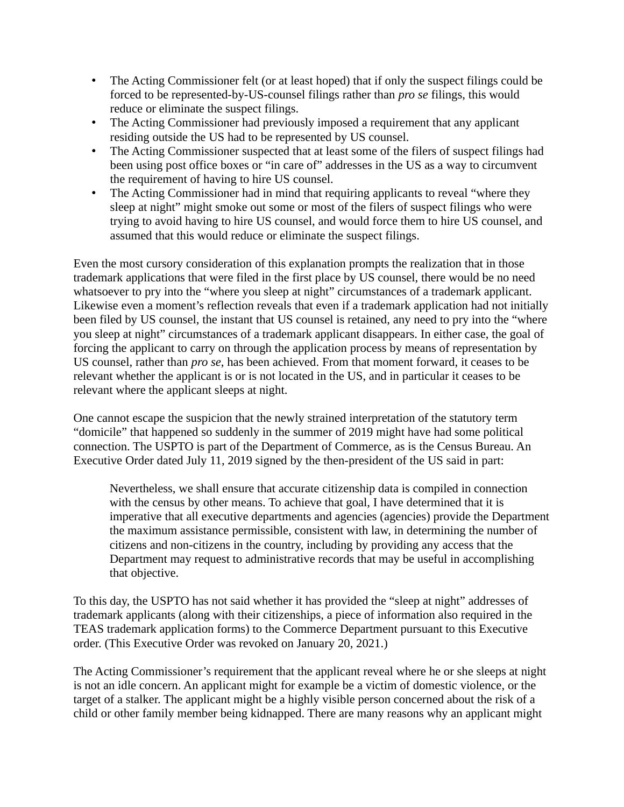- The Acting Commissioner felt (or at least hoped) that if only the suspect filings could be forced to be represented-by-US-counsel filings rather than *pro se* filings, this would reduce or eliminate the suspect filings.
- The Acting Commissioner had previously imposed a requirement that any applicant residing outside the US had to be represented by US counsel.
- The Acting Commissioner suspected that at least some of the filers of suspect filings had been using post office boxes or "in care of" addresses in the US as a way to circumvent the requirement of having to hire US counsel.
- The Acting Commissioner had in mind that requiring applicants to reveal "where they sleep at night" might smoke out some or most of the filers of suspect filings who were trying to avoid having to hire US counsel, and would force them to hire US counsel, and assumed that this would reduce or eliminate the suspect filings.

Even the most cursory consideration of this explanation prompts the realization that in those trademark applications that were filed in the first place by US counsel, there would be no need whatsoever to pry into the "where you sleep at night" circumstances of a trademark applicant. Likewise even a moment's reflection reveals that even if a trademark application had not initially been filed by US counsel, the instant that US counsel is retained, any need to pry into the "where you sleep at night" circumstances of a trademark applicant disappears. In either case, the goal of forcing the applicant to carry on through the application process by means of representation by US counsel, rather than *pro se*, has been achieved. From that moment forward, it ceases to be relevant whether the applicant is or is not located in the US, and in particular it ceases to be relevant where the applicant sleeps at night.

One cannot escape the suspicion that the newly strained interpretation of the statutory term "domicile" that happened so suddenly in the summer of 2019 might have had some political connection. The USPTO is part of the Department of Commerce, as is the Census Bureau. An Executive Order dated July 11, 2019 signed by the then-president of the US said in part:

Nevertheless, we shall ensure that accurate citizenship data is compiled in connection with the census by other means. To achieve that goal, I have determined that it is imperative that all executive departments and agencies (agencies) provide the Department the maximum assistance permissible, consistent with law, in determining the number of citizens and non-citizens in the country, including by providing any access that the Department may request to administrative records that may be useful in accomplishing that objective.

To this day, the USPTO has not said whether it has provided the "sleep at night" addresses of trademark applicants (along with their citizenships, a piece of information also required in the TEAS trademark application forms) to the Commerce Department pursuant to this Executive order. (This Executive Order was revoked on January 20, 2021.)

The Acting Commissioner's requirement that the applicant reveal where he or she sleeps at night is not an idle concern. An applicant might for example be a victim of domestic violence, or the target of a stalker. The applicant might be a highly visible person concerned about the risk of a child or other family member being kidnapped. There are many reasons why an applicant might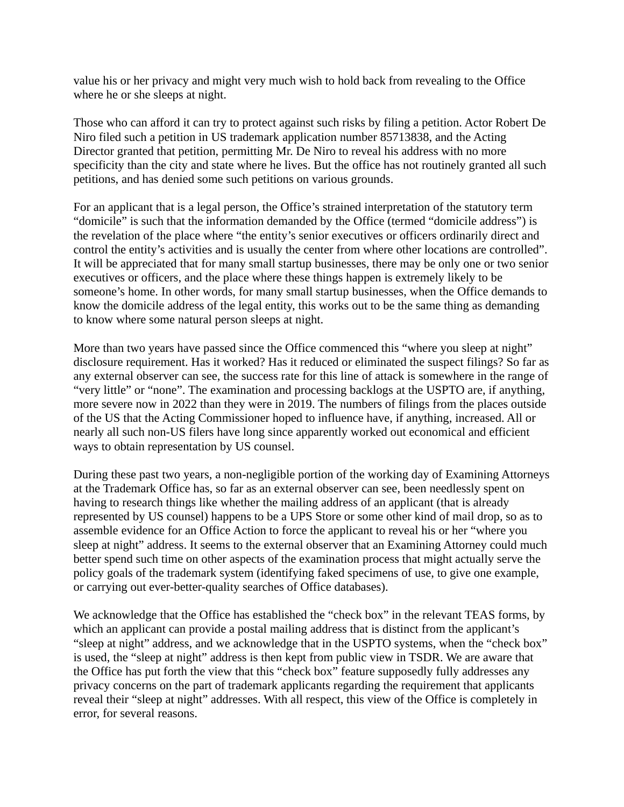value his or her privacy and might very much wish to hold back from revealing to the Office where he or she sleeps at night.

Those who can afford it can try to protect against such risks by filing a petition. Actor Robert De Niro filed such a petition in US trademark application number 85713838, and the Acting Director granted that petition, permitting Mr. De Niro to reveal his address with no more specificity than the city and state where he lives. But the office has not routinely granted all such petitions, and has denied some such petitions on various grounds.

For an applicant that is a legal person, the Office's strained interpretation of the statutory term "domicile" is such that the information demanded by the Office (termed "domicile address") is the revelation of the place where "the entity's senior executives or officers ordinarily direct and control the entity's activities and is usually the center from where other locations are controlled". It will be appreciated that for many small startup businesses, there may be only one or two senior executives or officers, and the place where these things happen is extremely likely to be someone's home. In other words, for many small startup businesses, when the Office demands to know the domicile address of the legal entity, this works out to be the same thing as demanding to know where some natural person sleeps at night.

More than two years have passed since the Office commenced this "where you sleep at night" disclosure requirement. Has it worked? Has it reduced or eliminated the suspect filings? So far as any external observer can see, the success rate for this line of attack is somewhere in the range of "very little" or "none". The examination and processing backlogs at the USPTO are, if anything, more severe now in 2022 than they were in 2019. The numbers of filings from the places outside of the US that the Acting Commissioner hoped to influence have, if anything, increased. All or nearly all such non-US filers have long since apparently worked out economical and efficient ways to obtain representation by US counsel.

During these past two years, a non-negligible portion of the working day of Examining Attorneys at the Trademark Office has, so far as an external observer can see, been needlessly spent on having to research things like whether the mailing address of an applicant (that is already represented by US counsel) happens to be a UPS Store or some other kind of mail drop, so as to assemble evidence for an Office Action to force the applicant to reveal his or her "where you sleep at night" address. It seems to the external observer that an Examining Attorney could much better spend such time on other aspects of the examination process that might actually serve the policy goals of the trademark system (identifying faked specimens of use, to give one example, or carrying out ever-better-quality searches of Office databases).

We acknowledge that the Office has established the "check box" in the relevant TEAS forms, by which an applicant can provide a postal mailing address that is distinct from the applicant's "sleep at night" address, and we acknowledge that in the USPTO systems, when the "check box" is used, the "sleep at night" address is then kept from public view in TSDR. We are aware that the Office has put forth the view that this "check box" feature supposedly fully addresses any privacy concerns on the part of trademark applicants regarding the requirement that applicants reveal their "sleep at night" addresses. With all respect, this view of the Office is completely in error, for several reasons.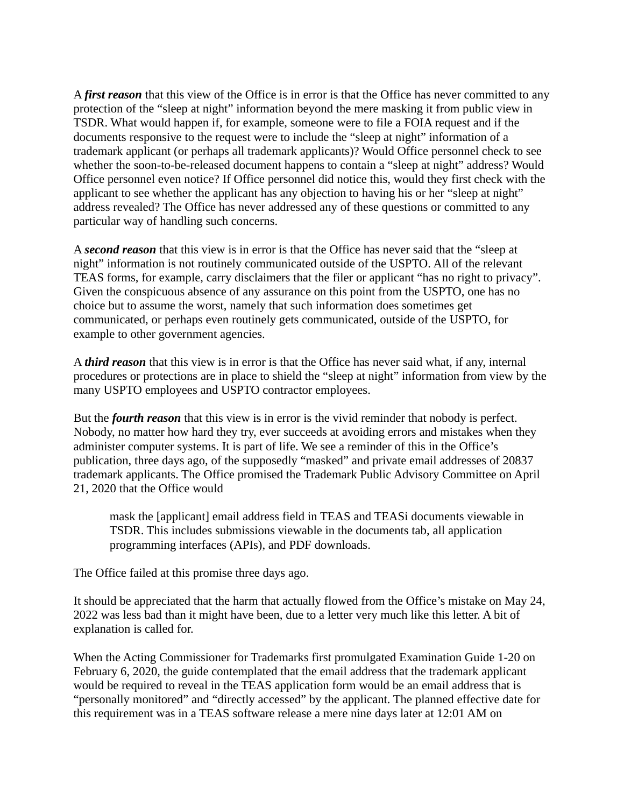A *first reason* that this view of the Office is in error is that the Office has never committed to any protection of the "sleep at night" information beyond the mere masking it from public view in TSDR. What would happen if, for example, someone were to file a FOIA request and if the documents responsive to the request were to include the "sleep at night" information of a trademark applicant (or perhaps all trademark applicants)? Would Office personnel check to see whether the soon-to-be-released document happens to contain a "sleep at night" address? Would Office personnel even notice? If Office personnel did notice this, would they first check with the applicant to see whether the applicant has any objection to having his or her "sleep at night" address revealed? The Office has never addressed any of these questions or committed to any particular way of handling such concerns.

A *second reason* that this view is in error is that the Office has never said that the "sleep at night" information is not routinely communicated outside of the USPTO. All of the relevant TEAS forms, for example, carry disclaimers that the filer or applicant "has no right to privacy". Given the conspicuous absence of any assurance on this point from the USPTO, one has no choice but to assume the worst, namely that such information does sometimes get communicated, or perhaps even routinely gets communicated, outside of the USPTO, for example to other government agencies.

A *third reason* that this view is in error is that the Office has never said what, if any, internal procedures or protections are in place to shield the "sleep at night" information from view by the many USPTO employees and USPTO contractor employees.

But the *fourth reason* that this view is in error is the vivid reminder that nobody is perfect. Nobody, no matter how hard they try, ever succeeds at avoiding errors and mistakes when they administer computer systems. It is part of life. We see a reminder of this in the Office's publication, three days ago, of the supposedly "masked" and private email addresses of 20837 trademark applicants. The Office promised the Trademark Public Advisory Committee on April 21, 2020 that the Office would

mask the [applicant] email address field in TEAS and TEASi documents viewable in TSDR. This includes submissions viewable in the documents tab, all application programming interfaces (APIs), and PDF downloads.

The Office failed at this promise three days ago.

It should be appreciated that the harm that actually flowed from the Office's mistake on May 24, 2022 was less bad than it might have been, due to a letter very much like this letter. A bit of explanation is called for.

When the Acting Commissioner for Trademarks first promulgated Examination Guide 1-20 on February 6, 2020, the guide contemplated that the email address that the trademark applicant would be required to reveal in the TEAS application form would be an email address that is "personally monitored" and "directly accessed" by the applicant. The planned effective date for this requirement was in a TEAS software release a mere nine days later at 12:01 AM on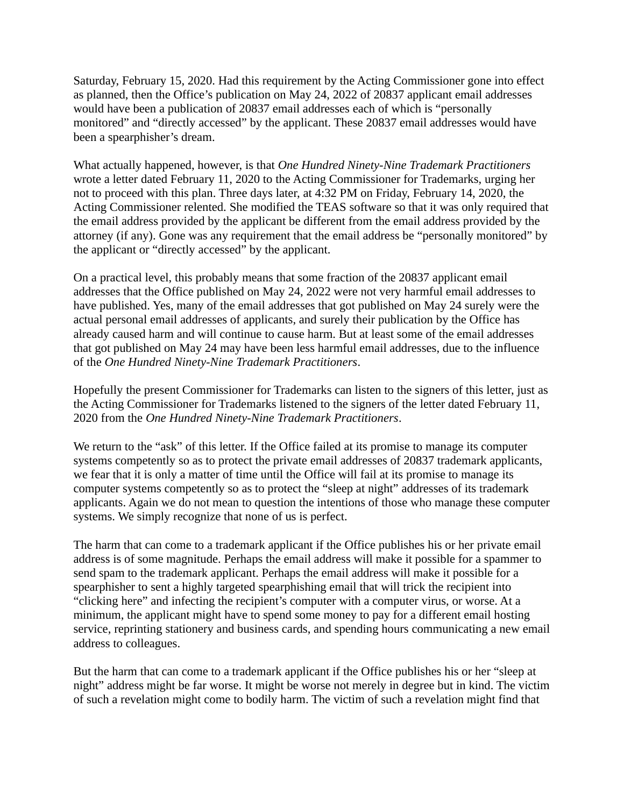Saturday, February 15, 2020. Had this requirement by the Acting Commissioner gone into effect as planned, then the Office's publication on May 24, 2022 of 20837 applicant email addresses would have been a publication of 20837 email addresses each of which is "personally monitored" and "directly accessed" by the applicant. These 20837 email addresses would have been a spearphisher's dream.

What actually happened, however, is that *One Hundred Ninety-Nine Trademark Practitioners* wrote a letter dated February 11, 2020 to the Acting Commissioner for Trademarks, urging her not to proceed with this plan. Three days later, at 4:32 PM on Friday, February 14, 2020, the Acting Commissioner relented. She modified the TEAS software so that it was only required that the email address provided by the applicant be different from the email address provided by the attorney (if any). Gone was any requirement that the email address be "personally monitored" by the applicant or "directly accessed" by the applicant.

On a practical level, this probably means that some fraction of the 20837 applicant email addresses that the Office published on May 24, 2022 were not very harmful email addresses to have published. Yes, many of the email addresses that got published on May 24 surely were the actual personal email addresses of applicants, and surely their publication by the Office has already caused harm and will continue to cause harm. But at least some of the email addresses that got published on May 24 may have been less harmful email addresses, due to the influence of the *One Hundred Ninety-Nine Trademark Practitioners*.

Hopefully the present Commissioner for Trademarks can listen to the signers of this letter, just as the Acting Commissioner for Trademarks listened to the signers of the letter dated February 11, 2020 from the *One Hundred Ninety-Nine Trademark Practitioners*.

We return to the "ask" of this letter. If the Office failed at its promise to manage its computer systems competently so as to protect the private email addresses of 20837 trademark applicants, we fear that it is only a matter of time until the Office will fail at its promise to manage its computer systems competently so as to protect the "sleep at night" addresses of its trademark applicants. Again we do not mean to question the intentions of those who manage these computer systems. We simply recognize that none of us is perfect.

The harm that can come to a trademark applicant if the Office publishes his or her private email address is of some magnitude. Perhaps the email address will make it possible for a spammer to send spam to the trademark applicant. Perhaps the email address will make it possible for a spearphisher to sent a highly targeted spearphishing email that will trick the recipient into "clicking here" and infecting the recipient's computer with a computer virus, or worse. At a minimum, the applicant might have to spend some money to pay for a different email hosting service, reprinting stationery and business cards, and spending hours communicating a new email address to colleagues.

But the harm that can come to a trademark applicant if the Office publishes his or her "sleep at night" address might be far worse. It might be worse not merely in degree but in kind. The victim of such a revelation might come to bodily harm. The victim of such a revelation might find that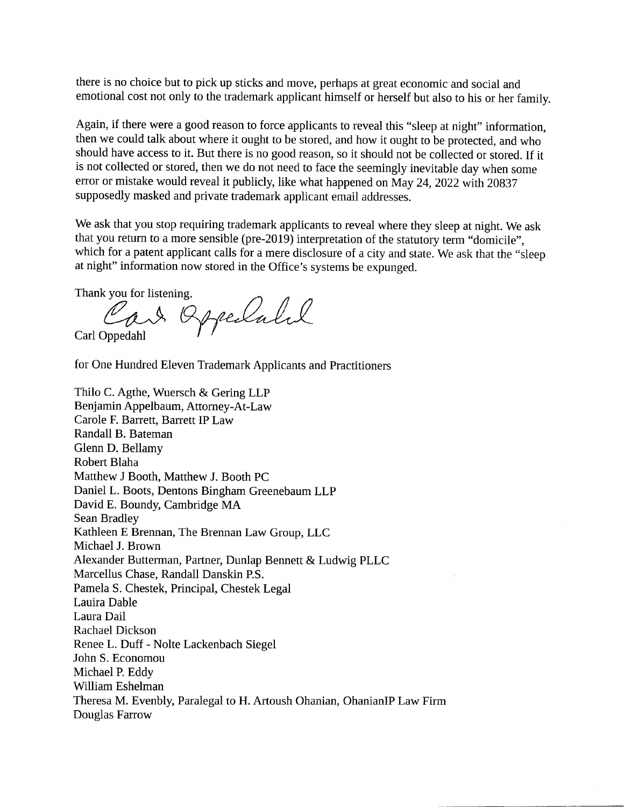there is no choice but to pick up sticks and move, perhaps at great economic and social and emotional cost not only to the trademark applicant himself or herself but also to his or her family.

Again, if there were a good reason to force applicants to reveal this "sleep at night" information, then we could talk about where it ought to be stored, and how it ought to be protected, and who should have access to it. But there is no good reason, so it should not be collected or stored. If it is not collected or stored, then we do not need to face the seemingly inevitable day when some error or mistake would reveal it publicly, like what happened on May 24, 2022 with 20837 supposedly masked and private trademark applicant email addresses.

We ask that you stop requiring trademark applicants to reveal where they sleep at night. We ask that you return to a more sensible (pre-2019) interpretation of the statutory term "domicile", which for a patent applicant calls for a mere disclosure of a city and state. We ask that the "sleep at night" information now stored in the Office's systems be expunged.

Thank you for listening.

Car Oppelatel Carl Oppedahl

for One Hundred Eleven Trademark Applicants and Practitioners

Thilo C. Agthe, Wuersch & Gering LLP Benjamin Appelbaum, Attorney-At-Law Carole F. Barrett, Barrett IP Law Randall B. Bateman Glenn D. Bellamy Robert Blaha Matthew J Booth, Matthew J. Booth PC Daniel L. Boots, Dentons Bingham Greenebaum LLP David E. Boundy, Cambridge MA Sean Bradley Kathleen E Brennan, The Brennan Law Group, LLC Michael J. Brown Alexander Butterman, Partner, Dunlap Bennett & Ludwig PLLC Marcellus Chase, Randall Danskin P.S. Pamela S. Chestek, Principal, Chestek Legal Lauira Dable Laura Dail Rachael Dickson Renee L. Duff - Nolte Lackenbach Siegel John S. Economou Michael P. Eddy William Eshelman Theresa M. Evenbly, Paralegal to H. Artoush Ohanian, OhanianIP Law Firm Douglas Farrow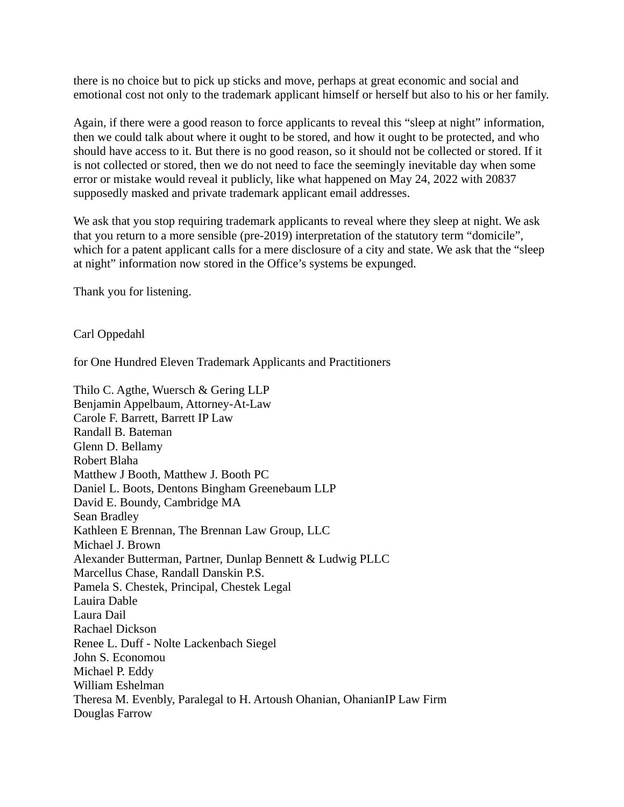there is no choice but to pick up sticks and move, perhaps at great economic and social and emotional cost not only to the trademark applicant himself or herself but also to his or her family.

Again, if there were a good reason to force applicants to reveal this "sleep at night" information, then we could talk about where it ought to be stored, and how it ought to be protected, and who should have access to it. But there is no good reason, so it should not be collected or stored. If it is not collected or stored, then we do not need to face the seemingly inevitable day when some error or mistake would reveal it publicly, like what happened on May 24, 2022 with 20837 supposedly masked and private trademark applicant email addresses.

We ask that you stop requiring trademark applicants to reveal where they sleep at night. We ask that you return to a more sensible (pre-2019) interpretation of the statutory term "domicile", which for a patent applicant calls for a mere disclosure of a city and state. We ask that the "sleep at night" information now stored in the Office's systems be expunged.

Thank you for listening.

Carl Oppedahl

for One Hundred Eleven Trademark Applicants and Practitioners

Thilo C. Agthe, Wuersch & Gering LLP Benjamin Appelbaum, Attorney-At-Law Carole F. Barrett, Barrett IP Law Randall B. Bateman Glenn D. Bellamy Robert Blaha Matthew J Booth, Matthew J. Booth PC Daniel L. Boots, Dentons Bingham Greenebaum LLP David E. Boundy, Cambridge MA Sean Bradley Kathleen E Brennan, The Brennan Law Group, LLC Michael J. Brown Alexander Butterman, Partner, Dunlap Bennett & Ludwig PLLC Marcellus Chase, Randall Danskin P.S. Pamela S. Chestek, Principal, Chestek Legal Lauira Dable Laura Dail Rachael Dickson Renee L. Duff - Nolte Lackenbach Siegel John S. Economou Michael P. Eddy William Eshelman Theresa M. Evenbly, Paralegal to H. Artoush Ohanian, OhanianIP Law Firm Douglas Farrow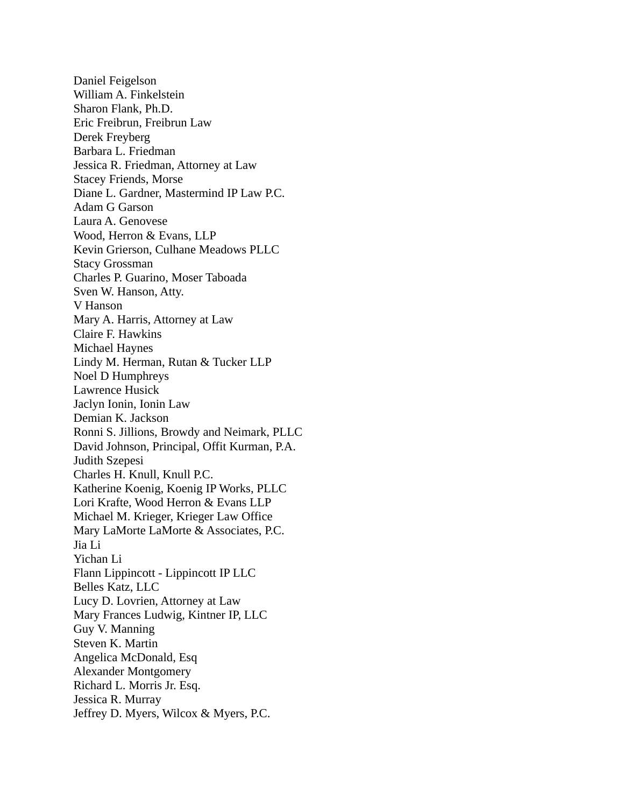Daniel Feigelson William A. Finkelstein Sharon Flank, Ph.D. Eric Freibrun, Freibrun Law Derek Freyberg Barbara L. Friedman Jessica R. Friedman, Attorney at Law Stacey Friends, Morse Diane L. Gardner, Mastermind IP Law P.C. Adam G Garson Laura A. Genovese Wood, Herron & Evans, LLP Kevin Grierson, Culhane Meadows PLLC Stacy Grossman Charles P. Guarino, Moser Taboada Sven W. Hanson, Atty. V Hanson Mary A. Harris, Attorney at Law Claire F. Hawkins Michael Haynes Lindy M. Herman, Rutan & Tucker LLP Noel D Humphreys Lawrence Husick Jaclyn Ionin, Ionin Law Demian K. Jackson Ronni S. Jillions, Browdy and Neimark, PLLC David Johnson, Principal, Offit Kurman, P.A. Judith Szepesi Charles H. Knull, Knull P.C. Katherine Koenig, Koenig IP Works, PLLC Lori Krafte, Wood Herron & Evans LLP Michael M. Krieger, Krieger Law Office Mary LaMorte LaMorte & Associates, P.C. Jia Li Yichan Li Flann Lippincott - Lippincott IP LLC Belles Katz, LLC Lucy D. Lovrien, Attorney at Law Mary Frances Ludwig, Kintner IP, LLC Guy V. Manning Steven K. Martin Angelica McDonald, Esq Alexander Montgomery Richard L. Morris Jr. Esq. Jessica R. Murray Jeffrey D. Myers, Wilcox & Myers, P.C.